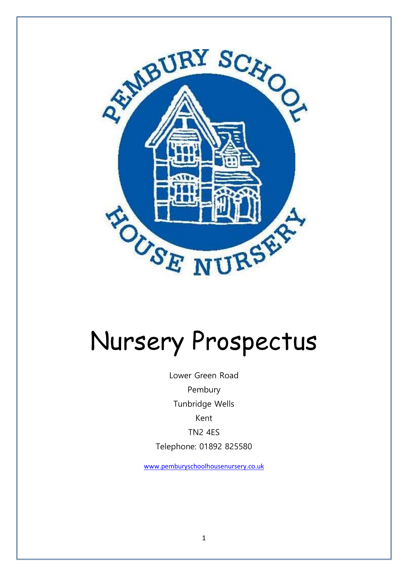

# Nursery Prospectus

Lower Green Road Pembury Tunbridge Wells Kent TN2 4ES Telephone: 01892 825580

[www.pemburyschoolhousenursery.co.uk](http://www.pemburyschoolhousenursery.co.uk/)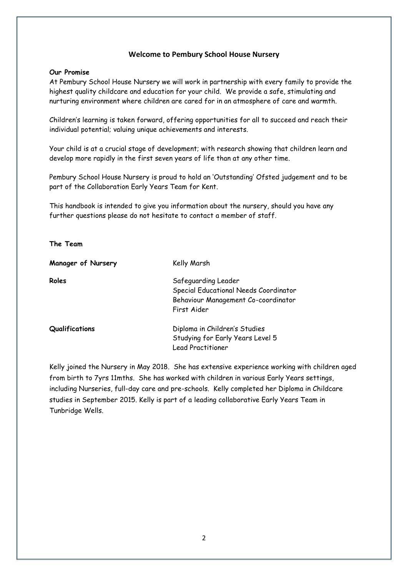# **Welcome to Pembury School House Nursery**

# **Our Promise**

At Pembury School House Nursery we will work in partnership with every family to provide the highest quality childcare and education for your child. We provide a safe, stimulating and nurturing environment where children are cared for in an atmosphere of care and warmth.

Children's learning is taken forward, offering opportunities for all to succeed and reach their individual potential; valuing unique achievements and interests.

Your child is at a crucial stage of development; with research showing that children learn and develop more rapidly in the first seven years of life than at any other time.

Pembury School House Nursery is proud to hold an 'Outstanding' Ofsted judgement and to be part of the Collaboration Early Years Team for Kent.

This handbook is intended to give you information about the nursery, should you have any further questions please do not hesitate to contact a member of staff.

# **The Team**

| Manager of Nursery | Kelly Marsh                                                  |
|--------------------|--------------------------------------------------------------|
| Roles              | Safeguarding Leader<br>Special Educational Needs Coordinator |
|                    | Behaviour Management Co-coordinator<br>First Aider           |
| Qualifications     | Diploma in Children's Studies                                |
|                    | Studying for Early Years Level 5                             |
|                    | <b>Lead Practitioner</b>                                     |

Kelly joined the Nursery in May 2018. She has extensive experience working with children aged from birth to 7yrs 11mths. She has worked with children in various Early Years settings, including Nurseries, full-day care and pre-schools. Kelly completed her Diploma in Childcare studies in September 2015. Kelly is part of a leading collaborative Early Years Team in Tunbridge Wells.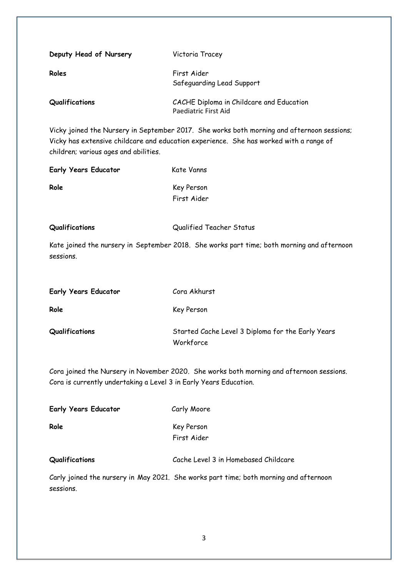| Deputy Head of Nursery | Victoria Tracey                                                  |
|------------------------|------------------------------------------------------------------|
| Roles                  | First Aider<br>Safeguarding Lead Support                         |
| Qualifications         | CACHE Diploma in Childcare and Education<br>Paediatric First Aid |

Vicky joined the Nursery in September 2017. She works both morning and afternoon sessions; Vicky has extensive childcare and education experience. She has worked with a range of children; various ages and abilities.

| <b>Early Years Educator</b> | Kate Vanns  |
|-----------------------------|-------------|
| Role                        | Key Person  |
|                             | First Aider |

**Qualifications** Qualified Teacher Status

Kate joined the nursery in September 2018. She works part time; both morning and afternoon sessions.

| <b>Early Years Educator</b> | Cora Akhurst                                                   |
|-----------------------------|----------------------------------------------------------------|
| Role                        | Key Person                                                     |
| Qualifications              | Started Cache Level 3 Diploma for the Early Years<br>Workforce |

Cora joined the Nursery in November 2020. She works both morning and afternoon sessions. Cora is currently undertaking a Level 3 in Early Years Education.

| <b>Early Years Educator</b> | Carly Moore                          |
|-----------------------------|--------------------------------------|
| Role                        | Key Person                           |
|                             | First Aider                          |
| Qualifications              | Cache Level 3 in Homebased Childcare |
|                             |                                      |

Carly joined the nursery in May 2021. She works part time; both morning and afternoon sessions.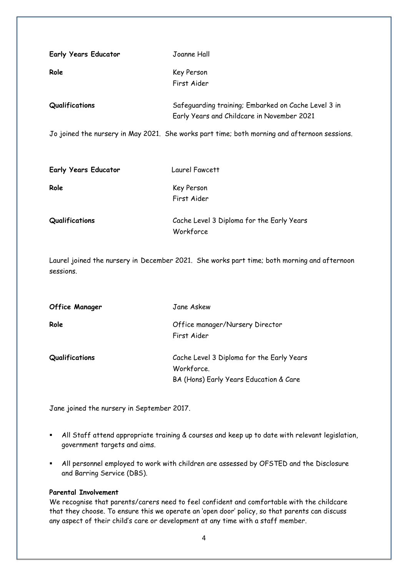| <b>Early Years Educator</b>                                                                  | Joanne Hall                                                                                       |  |
|----------------------------------------------------------------------------------------------|---------------------------------------------------------------------------------------------------|--|
| Role                                                                                         | Key Person                                                                                        |  |
|                                                                                              | First Aider                                                                                       |  |
| Qualifications                                                                               | Safeguarding training; Embarked on Cache Level 3 in<br>Early Years and Childcare in November 2021 |  |
| Jo joined the nursery in May 2021. She works part time; both morning and afternoon sessions. |                                                                                                   |  |
|                                                                                              |                                                                                                   |  |
| <b>Early Years Educator</b>                                                                  | Laurel Fawcett                                                                                    |  |
| Role                                                                                         | Key Person                                                                                        |  |
|                                                                                              | First Aider                                                                                       |  |
| Qualifications                                                                               | Cache Level 3 Diploma for the Early Years<br>Workforce                                            |  |

Laurel joined the nursery in December 2021. She works part time; both morning and afternoon sessions.

| <b>Office Manager</b> | Jane Askew                                              |
|-----------------------|---------------------------------------------------------|
| Role                  | Office manager/Nursery Director<br>First Aider          |
| Qualifications        | Cache Level 3 Diploma for the Early Years<br>Workforce. |
|                       | BA (Hons) Early Years Education & Care                  |

Jane joined the nursery in September 2017.

- All Staff attend appropriate training & courses and keep up to date with relevant legislation, government targets and aims.
- All personnel employed to work with children are assessed by OFSTED and the Disclosure and Barring Service (DBS).

# **Parental Involvement**

We recognise that parents/carers need to feel confident and comfortable with the childcare that they choose. To ensure this we operate an 'open door' policy, so that parents can discuss any aspect of their child's care or development at any time with a staff member.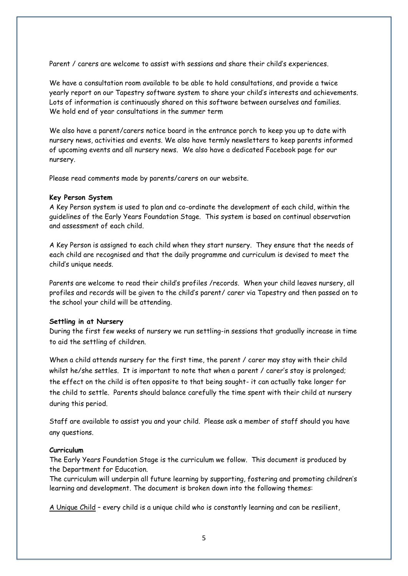Parent / carers are welcome to assist with sessions and share their child's experiences.

We have a consultation room available to be able to hold consultations, and provide a twice yearly report on our Tapestry software system to share your child's interests and achievements. Lots of information is continuously shared on this software between ourselves and families. We hold end of year consultations in the summer term

We also have a parent/carers notice board in the entrance porch to keep you up to date with nursery news, activities and events. We also have termly newsletters to keep parents informed of upcoming events and all nursery news. We also have a dedicated Facebook page for our nursery.

Please read comments made by parents/carers on our website.

# **Key Person System**

A Key Person system is used to plan and co-ordinate the development of each child, within the guidelines of the Early Years Foundation Stage. This system is based on continual observation and assessment of each child.

A Key Person is assigned to each child when they start nursery. They ensure that the needs of each child are recognised and that the daily programme and curriculum is devised to meet the child's unique needs.

Parents are welcome to read their child's profiles /records. When your child leaves nursery, all profiles and records will be given to the child's parent/ carer via Tapestry and then passed on to the school your child will be attending.

# **Settling in at Nursery**

During the first few weeks of nursery we run settling-in sessions that gradually increase in time to aid the settling of children.

When a child attends nursery for the first time, the parent / carer may stay with their child whilst he/she settles. It is important to note that when a parent / carer's stay is prolonged; the effect on the child is often opposite to that being sought- it can actually take longer for the child to settle. Parents should balance carefully the time spent with their child at nursery during this period.

Staff are available to assist you and your child. Please ask a member of staff should you have any questions.

# **Curriculum**

The Early Years Foundation Stage is the curriculum we follow. This document is produced by the Department for Education.

The curriculum will underpin all future learning by supporting, fostering and promoting children's learning and development. The document is broken down into the following themes:

A Unique Child – every child is a unique child who is constantly learning and can be resilient,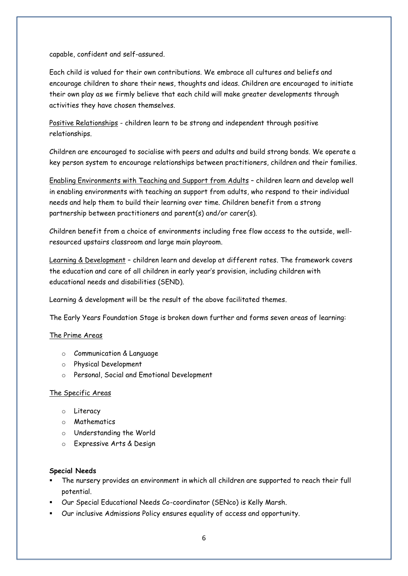capable, confident and self-assured.

Each child is valued for their own contributions. We embrace all cultures and beliefs and encourage children to share their news, thoughts and ideas. Children are encouraged to initiate their own play as we firmly believe that each child will make greater developments through activities they have chosen themselves.

Positive Relationships - children learn to be strong and independent through positive relationships.

Children are encouraged to socialise with peers and adults and build strong bonds. We operate a key person system to encourage relationships between practitioners, children and their families.

Enabling Environments with Teaching and Support from Adults – children learn and develop well in enabling environments with teaching an support from adults, who respond to their individual needs and help them to build their learning over time. Children benefit from a strong partnership between practitioners and parent(s) and/or carer(s).

Children benefit from a choice of environments including free flow access to the outside, wellresourced upstairs classroom and large main playroom.

Learning & Development - children learn and develop at different rates. The framework covers the education and care of all children in early year's provision, including children with educational needs and disabilities (SEND).

Learning & development will be the result of the above facilitated themes.

The Early Years Foundation Stage is broken down further and forms seven areas of learning:

# The Prime Areas

- o Communication & Language
- o Physical Development
- o Personal, Social and Emotional Development

# The Specific Areas

- o Literacy
- o Mathematics
- o Understanding the World
- o Expressive Arts & Design

# **Special Needs**

- The nursery provides an environment in which all children are supported to reach their full potential.
- Our Special Educational Needs Co-coordinator (SENco) is Kelly Marsh.
- Our inclusive Admissions Policy ensures equality of access and opportunity.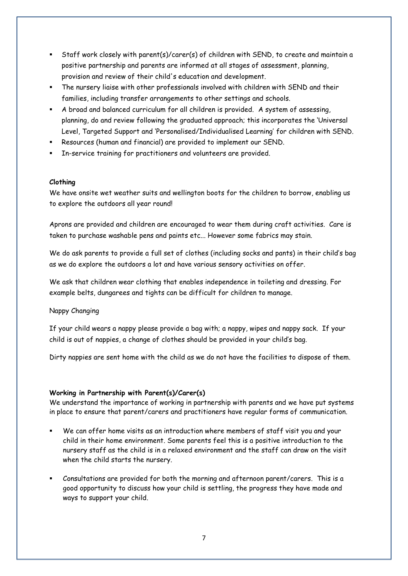- Staff work closely with parent(s)/carer(s) of children with SEND, to create and maintain a positive partnership and parents are informed at all stages of assessment, planning, provision and review of their child's education and development.
- The nursery liaise with other professionals involved with children with SEND and their families, including transfer arrangements to other settings and schools.
- A broad and balanced curriculum for all children is provided. A system of assessing, planning, do and review following the graduated approach; this incorporates the 'Universal Level, Targeted Support and 'Personalised/Individualised Learning' for children with SEND.
- Resources (human and financial) are provided to implement our SEND.
- In-service training for practitioners and volunteers are provided.

# **Clothing**

We have onsite wet weather suits and wellington boots for the children to borrow, enabling us to explore the outdoors all year round!

Aprons are provided and children are encouraged to wear them during craft activities. Care is taken to purchase washable pens and paints etc... However some fabrics may stain.

We do ask parents to provide a full set of clothes (including socks and pants) in their child's bag as we do explore the outdoors a lot and have various sensory activities on offer.

We ask that children wear clothing that enables independence in toileting and dressing. For example belts, dungarees and tights can be difficult for children to manage.

Nappy Changing

If your child wears a nappy please provide a bag with; a nappy, wipes and nappy sack. If your child is out of nappies, a change of clothes should be provided in your child's bag.

Dirty nappies are sent home with the child as we do not have the facilities to dispose of them.

# **Working in Partnership with Parent(s)/Carer(s)**

We understand the importance of working in partnership with parents and we have put systems in place to ensure that parent/carers and practitioners have regular forms of communication.

- We can offer home visits as an introduction where members of staff visit you and your child in their home environment. Some parents feel this is a positive introduction to the nursery staff as the child is in a relaxed environment and the staff can draw on the visit when the child starts the nursery.
- Consultations are provided for both the morning and afternoon parent/carers. This is a good opportunity to discuss how your child is settling, the progress they have made and ways to support your child.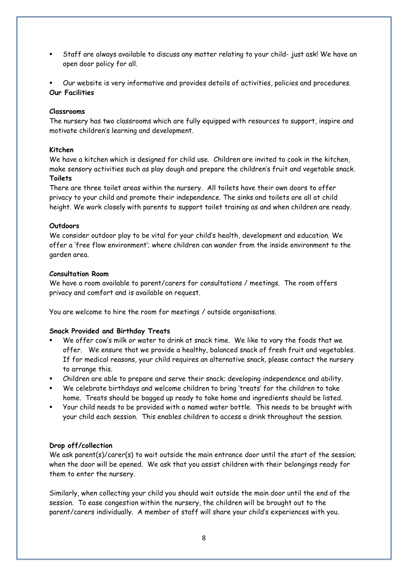Staff are always available to discuss any matter relating to your child- just ask! We have an open door policy for all.

Our website is very informative and provides details of activities, policies and procedures. **Our Facilities**

### **Classrooms**

The nursery has two classrooms which are fully equipped with resources to support, inspire and motivate children's learning and development.

#### **Kitchen**

We have a kitchen which is designed for child use. Children are invited to cook in the kitchen, make sensory activities such as play dough and prepare the children's fruit and vegetable snack. **Toilets**

There are three toilet areas within the nursery. All toilets have their own doors to offer privacy to your child and promote their independence. The sinks and toilets are all at child height. We work closely with parents to support toilet training as and when children are ready.

#### **Outdoors**

We consider outdoor play to be vital for your child's health, development and education. We offer a 'free flow environment'; where children can wander from the inside environment to the garden area.

#### **Consultation Room**

We have a room available to parent/carers for consultations / meetings. The room offers privacy and comfort and is available on request.

You are welcome to hire the room for meetings / outside organisations.

#### **Snack Provided and Birthday Treats**

- We offer cow's milk or water to drink at snack time. We like to vary the foods that we offer. We ensure that we provide a healthy, balanced snack of fresh fruit and vegetables. If for medical reasons, your child requires an alternative snack, please contact the nursery to arrange this.
- Children are able to prepare and serve their snack; developing independence and ability.
- We celebrate birthdays and welcome children to bring 'treats' for the children to take home. Treats should be bagged up ready to take home and ingredients should be listed.
- Your child needs to be provided with a named water bottle. This needs to be brought with your child each session. This enables children to access a drink throughout the session.

#### **Drop off/collection**

We ask parent(s)/carer(s) to wait outside the main entrance door until the start of the session; when the door will be opened. We ask that you assist children with their belongings ready for them to enter the nursery.

Similarly, when collecting your child you should wait outside the main door until the end of the session. To ease congestion within the nursery, the children will be brought out to the parent/carers individually. A member of staff will share your child's experiences with you.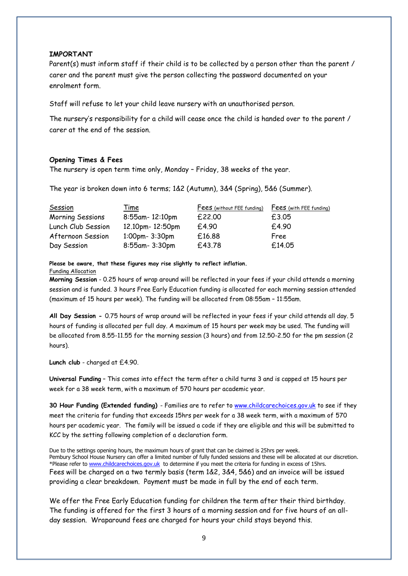#### **IMPORTANT**

Parent(s) must inform staff if their child is to be collected by a person other than the parent / carer and the parent must give the person collecting the password documented on your enrolment form.

Staff will refuse to let your child leave nursery with an unauthorised person.

The nursery's responsibility for a child will cease once the child is handed over to the parent / carer at the end of the session.

#### **Opening Times & Fees**

The nursery is open term time only, Monday – Friday, 38 weeks of the year.

The year is broken down into 6 terms; 1&2 (Autumn), 3&4 (Spring), 5&6 (Summer).

| Session            | Time                 | Fees (without FEE funding) | Fees (with FEE funding) |
|--------------------|----------------------|----------------------------|-------------------------|
| Morning Sessions   | 8:55am-12:10pm       | £22.00                     | £3.05                   |
| Lunch Club Session | 12.10pm- 12:50pm     | £4.90                      | £4.90                   |
| Afternoon Session  | $1:00$ pm- $3:30$ pm | £16.88                     | Free                    |
| Day Session        | 8:55am- 3:30pm       | £43.78                     | £14.05                  |

**Please be aware, that these figures may rise slightly to reflect inflation.** Funding Allocation

**Morning Session** - 0.25 hours of wrap around will be reflected in your fees if your child attends a morning session and is funded. 3 hours Free Early Education funding is allocated for each morning session attended (maximum of 15 hours per week). The funding will be allocated from 08:55am – 11:55am.

**All Day Session -** 0.75 hours of wrap around will be reflected in your fees if your child attends all day. 5 hours of funding is allocated per full day. A maximum of 15 hours per week may be used. The funding will be allocated from 8.55-11.55 for the morning session (3 hours) and from 12.50-2.50 for the pm session (2 hours).

**Lunch club** - charged at £4.90.

**Universal Funding** – This comes into effect the term after a child turns 3 and is capped at 15 hours per week for a 38 week term, with a maximum of 570 hours per academic year.

**30 Hour Funding (Extended funding)** - Families are to refer to [www.childcarechoices.gov.uk](http://www.childcarechoices.gov.uk/) to see if they meet the criteria for funding that exceeds 15hrs per week for a 38 week term, with a maximum of 570 hours per academic year. The family will be issued a code if they are eligible and this will be submitted to KCC by the setting following completion of a declaration form.

Due to the settings opening hours, the maximum hours of grant that can be claimed is 25hrs per week. Pembury School House Nursery can offer a limited number of fully funded sessions and these will be allocated at our discretion. \*Please refer to [www.childcarechoices.gov.uk](http://www.childcarechoices.gov.uk/) to determine if you meet the criteria for funding in excess of 15hrs. Fees will be charged on a two termly basis (term 1&2, 3&4, 5&6) and an invoice will be issued providing a clear breakdown. Payment must be made in full by the end of each term.

We offer the Free Early Education funding for children the term after their third birthday. The funding is offered for the first 3 hours of a morning session and for five hours of an allday session. Wraparound fees are charged for hours your child stays beyond this.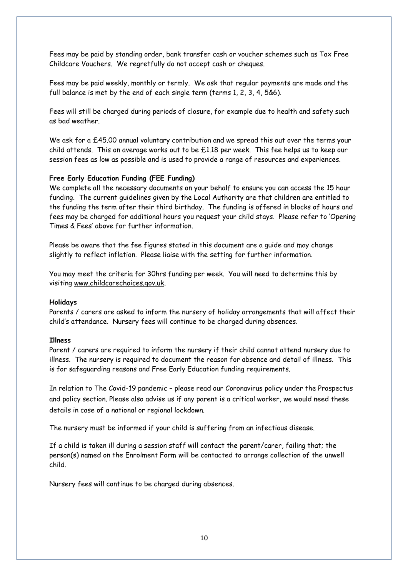Fees may be paid by standing order, bank transfer cash or voucher schemes such as Tax Free Childcare Vouchers. We regretfully do not accept cash or cheques.

Fees may be paid weekly, monthly or termly. We ask that regular payments are made and the full balance is met by the end of each single term (terms 1, 2, 3, 4, 5&6).

Fees will still be charged during periods of closure, for example due to health and safety such as bad weather.

We ask for a £45.00 annual voluntary contribution and we spread this out over the terms your child attends. This on average works out to be £1.18 per week. This fee helps us to keep our session fees as low as possible and is used to provide a range of resources and experiences.

# **Free Early Education Funding (FEE Funding)**

We complete all the necessary documents on your behalf to ensure you can access the 15 hour funding. The current guidelines given by the Local Authority are that children are entitled to the funding the term after their third birthday. The funding is offered in blocks of hours and fees may be charged for additional hours you request your child stays. Please refer to 'Opening Times & Fees' above for further information.

Please be aware that the fee figures stated in this document are a guide and may change slightly to reflect inflation. Please liaise with the setting for further information.

You may meet the criteria for 30hrs funding per week. You will need to determine this by visiting [www.childcarechoices.gov.uk.](http://www.childcarechoices.gov.uk/)

# **Holidays**

Parents / carers are asked to inform the nursery of holiday arrangements that will affect their child's attendance. Nursery fees will continue to be charged during absences.

# **Illness**

Parent / carers are required to inform the nursery if their child cannot attend nursery due to illness. The nursery is required to document the reason for absence and detail of illness. This is for safeguarding reasons and Free Early Education funding requirements.

In relation to The Covid-19 pandemic – please read our Coronavirus policy under the Prospectus and policy section. Please also advise us if any parent is a critical worker, we would need these details in case of a national or regional lockdown.

The nursery must be informed if your child is suffering from an infectious disease.

If a child is taken ill during a session staff will contact the parent/carer, failing that; the person(s) named on the Enrolment Form will be contacted to arrange collection of the unwell child.

Nursery fees will continue to be charged during absences.